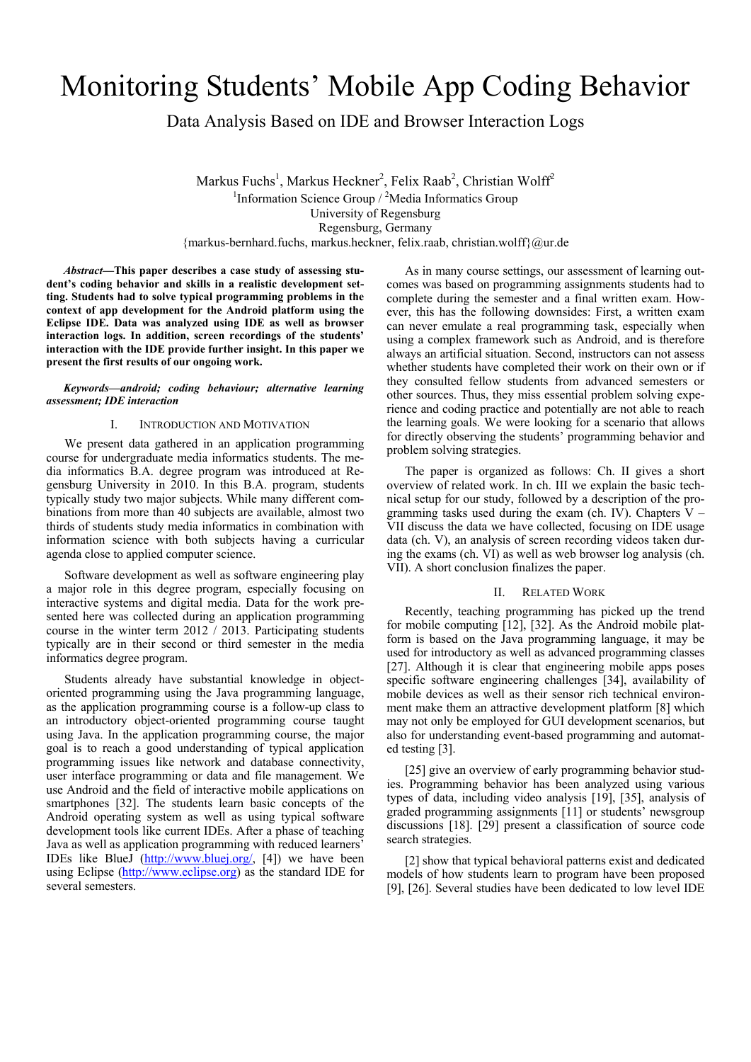# Monitoring Students' Mobile App Coding Behavior

Data Analysis Based on IDE and Browser Interaction Logs

Markus Fuchs<sup>1</sup>, Markus Heckner<sup>2</sup>, Felix Raab<sup>2</sup>, Christian Wolff<sup>2</sup> <sup>1</sup>Information Science Group / <sup>2</sup>Media Informatics Group University of Regensburg Regensburg, Germany {markus-bernhard.fuchs, markus.heckner, felix.raab, christian.wolff}@ur.de

*Abstract***—This paper describes a case study of assessing student's coding behavior and skills in a realistic development setting. Students had to solve typical programming problems in the context of app development for the Android platform using the Eclipse IDE. Data was analyzed using IDE as well as browser interaction logs. In addition, screen recordings of the students' interaction with the IDE provide further insight. In this paper we present the first results of our ongoing work.** 

*Keywords—android; coding behaviour; alternative learning assessment; IDE interaction* 

## I. INTRODUCTION AND MOTIVATION

We present data gathered in an application programming course for undergraduate media informatics students. The media informatics B.A. degree program was introduced at Regensburg University in 2010. In this B.A. program, students typically study two major subjects. While many different combinations from more than 40 subjects are available, almost two thirds of students study media informatics in combination with information science with both subjects having a curricular agenda close to applied computer science.

Software development as well as software engineering play a major role in this degree program, especially focusing on interactive systems and digital media. Data for the work presented here was collected during an application programming course in the winter term 2012 / 2013. Participating students typically are in their second or third semester in the media informatics degree program.

Students already have substantial knowledge in objectoriented programming using the Java programming language, as the application programming course is a follow-up class to an introductory object-oriented programming course taught using Java. In the application programming course, the major goal is to reach a good understanding of typical application programming issues like network and database connectivity, user interface programming or data and file management. We use Android and the field of interactive mobile applications on smartphones [32]. The students learn basic concepts of the Android operating system as well as using typical software development tools like current IDEs. After a phase of teaching Java as well as application programming with reduced learners' IDEs like BlueJ (http://www.bluej.org/, [4]) we have been using Eclipse (http://www.eclipse.org) as the standard IDE for several semesters.

As in many course settings, our assessment of learning outcomes was based on programming assignments students had to complete during the semester and a final written exam. However, this has the following downsides: First, a written exam can never emulate a real programming task, especially when using a complex framework such as Android, and is therefore always an artificial situation. Second, instructors can not assess whether students have completed their work on their own or if they consulted fellow students from advanced semesters or other sources. Thus, they miss essential problem solving experience and coding practice and potentially are not able to reach the learning goals. We were looking for a scenario that allows for directly observing the students' programming behavior and problem solving strategies.

The paper is organized as follows: Ch. II gives a short overview of related work. In ch. III we explain the basic technical setup for our study, followed by a description of the programming tasks used during the exam (ch. IV). Chapters  $V -$ VII discuss the data we have collected, focusing on IDE usage data (ch. V), an analysis of screen recording videos taken during the exams (ch. VI) as well as web browser log analysis (ch. VII). A short conclusion finalizes the paper.

### II. RELATED WORK

Recently, teaching programming has picked up the trend for mobile computing [12], [32]. As the Android mobile platform is based on the Java programming language, it may be used for introductory as well as advanced programming classes [27]. Although it is clear that engineering mobile apps poses specific software engineering challenges [34], availability of mobile devices as well as their sensor rich technical environment make them an attractive development platform [8] which may not only be employed for GUI development scenarios, but also for understanding event-based programming and automated testing [3].

[25] give an overview of early programming behavior studies. Programming behavior has been analyzed using various types of data, including video analysis [19], [35], analysis of graded programming assignments [11] or students' newsgroup discussions [18]. [29] present a classification of source code search strategies.

[2] show that typical behavioral patterns exist and dedicated models of how students learn to program have been proposed [9], [26]. Several studies have been dedicated to low level IDE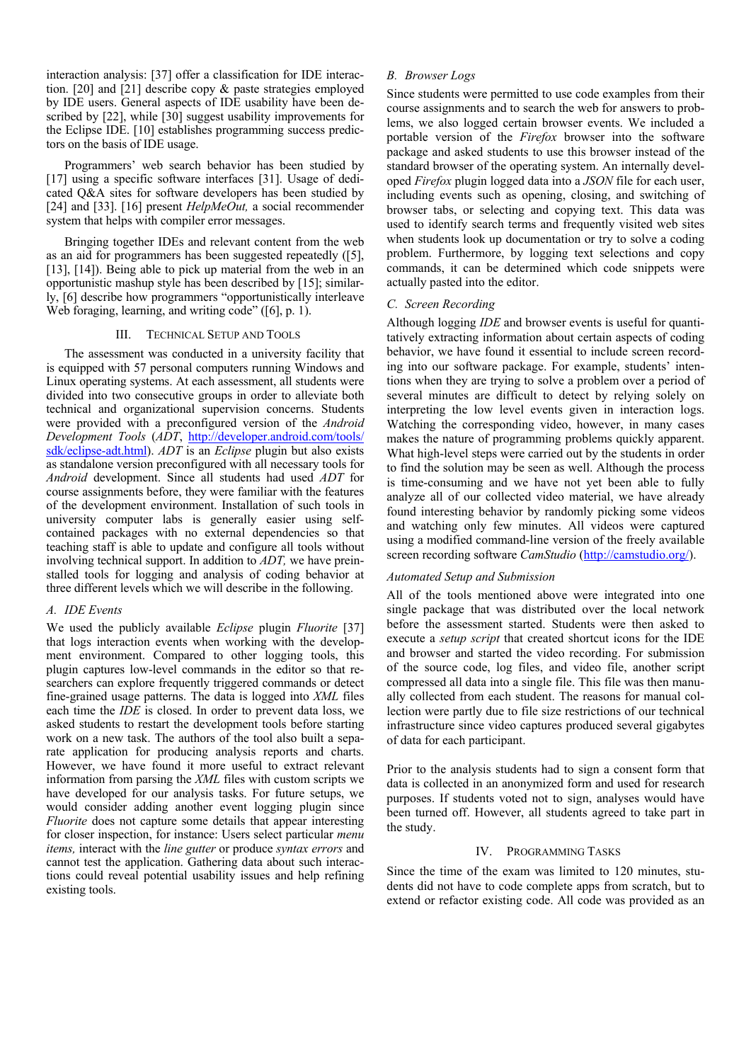interaction analysis: [37] offer a classification for IDE interaction. [20] and [21] describe copy & paste strategies employed by IDE users. General aspects of IDE usability have been described by [22], while [30] suggest usability improvements for the Eclipse IDE. [10] establishes programming success predictors on the basis of IDE usage.

Programmers' web search behavior has been studied by [17] using a specific software interfaces [31]. Usage of dedicated Q&A sites for software developers has been studied by [24] and [33]. [16] present *HelpMeOut*, a social recommender system that helps with compiler error messages.

Bringing together IDEs and relevant content from the web as an aid for programmers has been suggested repeatedly ([5], [13], [14]). Being able to pick up material from the web in an opportunistic mashup style has been described by [15]; similarly, [6] describe how programmers "opportunistically interleave Web foraging, learning, and writing code" ([6], p. 1).

#### III. TECHNICAL SETUP AND TOOLS

The assessment was conducted in a university facility that is equipped with 57 personal computers running Windows and Linux operating systems. At each assessment, all students were divided into two consecutive groups in order to alleviate both technical and organizational supervision concerns. Students were provided with a preconfigured version of the *Android Development Tools* (*ADT*, http://developer.android.com/tools/ sdk/eclipse-adt.html). *ADT* is an *Eclipse* plugin but also exists as standalone version preconfigured with all necessary tools for *Android* development. Since all students had used *ADT* for course assignments before, they were familiar with the features of the development environment. Installation of such tools in university computer labs is generally easier using selfcontained packages with no external dependencies so that teaching staff is able to update and configure all tools without involving technical support. In addition to *ADT,* we have preinstalled tools for logging and analysis of coding behavior at three different levels which we will describe in the following.

#### *A. IDE Events*

We used the publicly available *Eclipse* plugin *Fluorite* [37] that logs interaction events when working with the development environment. Compared to other logging tools, this plugin captures low-level commands in the editor so that researchers can explore frequently triggered commands or detect fine-grained usage patterns. The data is logged into *XML* files each time the *IDE* is closed. In order to prevent data loss, we asked students to restart the development tools before starting work on a new task. The authors of the tool also built a separate application for producing analysis reports and charts. However, we have found it more useful to extract relevant information from parsing the *XML* files with custom scripts we have developed for our analysis tasks. For future setups, we would consider adding another event logging plugin since *Fluorite* does not capture some details that appear interesting for closer inspection, for instance: Users select particular *menu items,* interact with the *line gutter* or produce *syntax errors* and cannot test the application. Gathering data about such interactions could reveal potential usability issues and help refining existing tools.

## *B. Browser Logs*

Since students were permitted to use code examples from their course assignments and to search the web for answers to problems, we also logged certain browser events. We included a portable version of the *Firefox* browser into the software package and asked students to use this browser instead of the standard browser of the operating system. An internally developed *Firefox* plugin logged data into a *JSON* file for each user, including events such as opening, closing, and switching of browser tabs, or selecting and copying text. This data was used to identify search terms and frequently visited web sites when students look up documentation or try to solve a coding problem. Furthermore, by logging text selections and copy commands, it can be determined which code snippets were actually pasted into the editor.

## *C. Screen Recording*

Although logging *IDE* and browser events is useful for quantitatively extracting information about certain aspects of coding behavior, we have found it essential to include screen recording into our software package. For example, students' intentions when they are trying to solve a problem over a period of several minutes are difficult to detect by relying solely on interpreting the low level events given in interaction logs. Watching the corresponding video, however, in many cases makes the nature of programming problems quickly apparent. What high-level steps were carried out by the students in order to find the solution may be seen as well. Although the process is time-consuming and we have not yet been able to fully analyze all of our collected video material, we have already found interesting behavior by randomly picking some videos and watching only few minutes. All videos were captured using a modified command-line version of the freely available screen recording software *CamStudio* (http://camstudio.org/).

## *Automated Setup and Submission*

All of the tools mentioned above were integrated into one single package that was distributed over the local network before the assessment started. Students were then asked to execute a *setup script* that created shortcut icons for the IDE and browser and started the video recording. For submission of the source code, log files, and video file, another script compressed all data into a single file. This file was then manually collected from each student. The reasons for manual collection were partly due to file size restrictions of our technical infrastructure since video captures produced several gigabytes of data for each participant.

Prior to the analysis students had to sign a consent form that data is collected in an anonymized form and used for research purposes. If students voted not to sign, analyses would have been turned off. However, all students agreed to take part in the study.

## IV. PROGRAMMING TASKS

Since the time of the exam was limited to 120 minutes, students did not have to code complete apps from scratch, but to extend or refactor existing code. All code was provided as an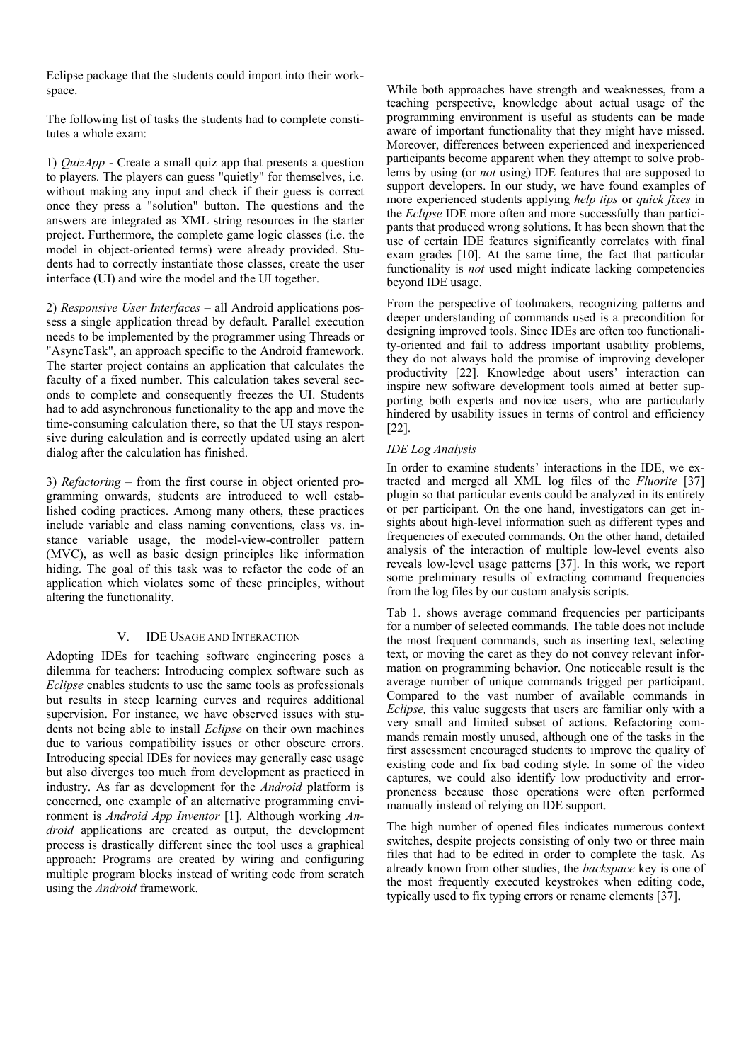Eclipse package that the students could import into their workspace.

The following list of tasks the students had to complete constitutes a whole exam:

1) *QuizApp* - Create a small quiz app that presents a question to players. The players can guess "quietly" for themselves, i.e. without making any input and check if their guess is correct once they press a "solution" button. The questions and the answers are integrated as XML string resources in the starter project. Furthermore, the complete game logic classes (i.e. the model in object-oriented terms) were already provided. Students had to correctly instantiate those classes, create the user interface (UI) and wire the model and the UI together.

2) *Responsive User Interfaces* – all Android applications possess a single application thread by default. Parallel execution needs to be implemented by the programmer using Threads or "AsyncTask", an approach specific to the Android framework. The starter project contains an application that calculates the faculty of a fixed number. This calculation takes several seconds to complete and consequently freezes the UI. Students had to add asynchronous functionality to the app and move the time-consuming calculation there, so that the UI stays responsive during calculation and is correctly updated using an alert dialog after the calculation has finished.

3) *Refactoring* – from the first course in object oriented programming onwards, students are introduced to well established coding practices. Among many others, these practices include variable and class naming conventions, class vs. instance variable usage, the model-view-controller pattern (MVC), as well as basic design principles like information hiding. The goal of this task was to refactor the code of an application which violates some of these principles, without altering the functionality.

# V. IDE USAGE AND INTERACTION

Adopting IDEs for teaching software engineering poses a dilemma for teachers: Introducing complex software such as *Eclipse* enables students to use the same tools as professionals but results in steep learning curves and requires additional supervision. For instance, we have observed issues with students not being able to install *Eclipse* on their own machines due to various compatibility issues or other obscure errors. Introducing special IDEs for novices may generally ease usage but also diverges too much from development as practiced in industry. As far as development for the *Android* platform is concerned, one example of an alternative programming environment is *Android App Inventor* [1]. Although working *Android* applications are created as output, the development process is drastically different since the tool uses a graphical approach: Programs are created by wiring and configuring multiple program blocks instead of writing code from scratch using the *Android* framework.

While both approaches have strength and weaknesses, from a teaching perspective, knowledge about actual usage of the programming environment is useful as students can be made aware of important functionality that they might have missed. Moreover, differences between experienced and inexperienced participants become apparent when they attempt to solve problems by using (or *not* using) IDE features that are supposed to support developers. In our study, we have found examples of more experienced students applying *help tips* or *quick fixes* in the *Eclipse* IDE more often and more successfully than participants that produced wrong solutions. It has been shown that the use of certain IDE features significantly correlates with final exam grades [10]. At the same time, the fact that particular functionality is *not* used might indicate lacking competencies beyond IDE usage.

From the perspective of toolmakers, recognizing patterns and deeper understanding of commands used is a precondition for designing improved tools. Since IDEs are often too functionality-oriented and fail to address important usability problems, they do not always hold the promise of improving developer productivity [22]. Knowledge about users' interaction can inspire new software development tools aimed at better supporting both experts and novice users, who are particularly hindered by usability issues in terms of control and efficiency [22].

# *IDE Log Analysis*

In order to examine students' interactions in the IDE, we extracted and merged all XML log files of the *Fluorite* [37] plugin so that particular events could be analyzed in its entirety or per participant. On the one hand, investigators can get insights about high-level information such as different types and frequencies of executed commands. On the other hand, detailed analysis of the interaction of multiple low-level events also reveals low-level usage patterns [37]. In this work, we report some preliminary results of extracting command frequencies from the log files by our custom analysis scripts.

Tab 1. shows average command frequencies per participants for a number of selected commands. The table does not include the most frequent commands, such as inserting text, selecting text, or moving the caret as they do not convey relevant information on programming behavior. One noticeable result is the average number of unique commands trigged per participant. Compared to the vast number of available commands in *Eclipse,* this value suggests that users are familiar only with a very small and limited subset of actions. Refactoring commands remain mostly unused, although one of the tasks in the first assessment encouraged students to improve the quality of existing code and fix bad coding style. In some of the video captures, we could also identify low productivity and errorproneness because those operations were often performed manually instead of relying on IDE support.

The high number of opened files indicates numerous context switches, despite projects consisting of only two or three main files that had to be edited in order to complete the task. As already known from other studies, the *backspace* key is one of the most frequently executed keystrokes when editing code, typically used to fix typing errors or rename elements [37].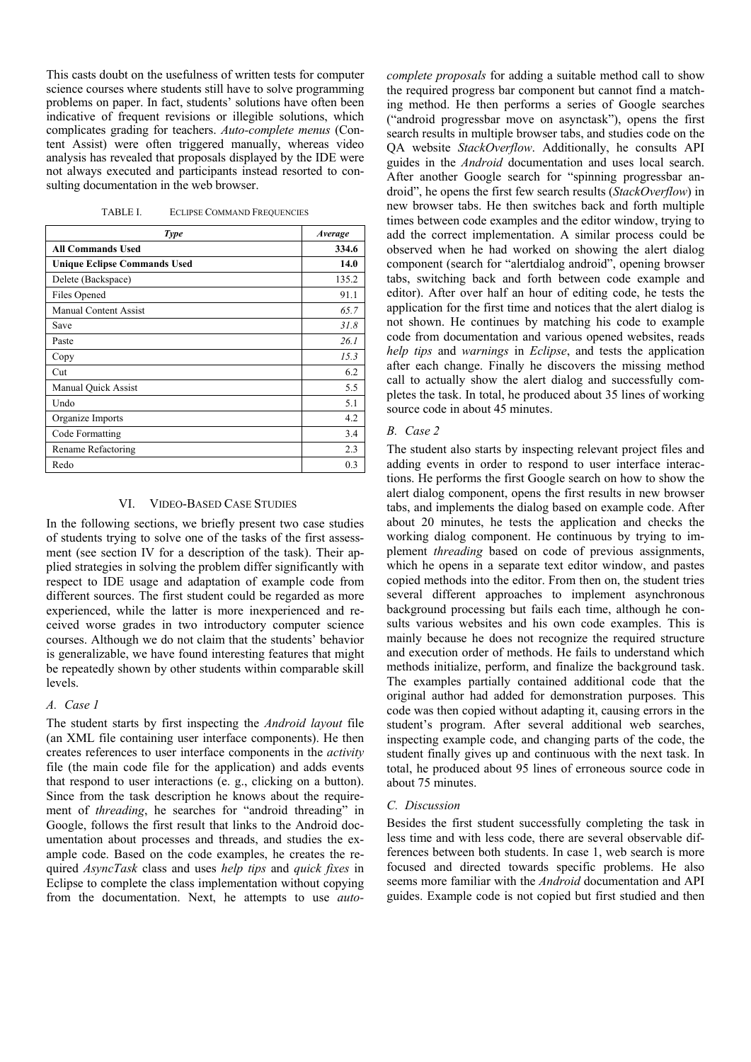This casts doubt on the usefulness of written tests for computer science courses where students still have to solve programming problems on paper. In fact, students' solutions have often been indicative of frequent revisions or illegible solutions, which complicates grading for teachers. *Auto-complete menus* (Content Assist) were often triggered manually, whereas video analysis has revealed that proposals displayed by the IDE were not always executed and participants instead resorted to consulting documentation in the web browser.

TABLE I. ECLIPSE COMMAND FREQUENCIES

| Type                                | Average |
|-------------------------------------|---------|
| <b>All Commands Used</b>            | 334.6   |
| <b>Unique Eclipse Commands Used</b> | 14.0    |
| Delete (Backspace)                  | 135.2   |
| Files Opened                        | 91.1    |
| Manual Content Assist               | 65.7    |
| Save                                | 31.8    |
| Paste                               | 26.1    |
| Copy                                | 15.3    |
| Cut                                 | 6.2     |
| Manual Quick Assist                 | 5.5     |
| Undo                                | 5.1     |
| Organize Imports                    | 4.2     |
| Code Formatting                     | 3.4     |
| Rename Refactoring                  | 2.3     |
| Redo                                | 0.3     |

# VI. VIDEO-BASED CASE STUDIES

In the following sections, we briefly present two case studies of students trying to solve one of the tasks of the first assessment (see section IV for a description of the task). Their applied strategies in solving the problem differ significantly with respect to IDE usage and adaptation of example code from different sources. The first student could be regarded as more experienced, while the latter is more inexperienced and received worse grades in two introductory computer science courses. Although we do not claim that the students' behavior is generalizable, we have found interesting features that might be repeatedly shown by other students within comparable skill levels.

# *A. Case 1*

The student starts by first inspecting the *Android layout* file (an XML file containing user interface components). He then creates references to user interface components in the *activity* file (the main code file for the application) and adds events that respond to user interactions (e. g., clicking on a button). Since from the task description he knows about the requirement of *threading*, he searches for "android threading" in Google, follows the first result that links to the Android documentation about processes and threads, and studies the example code. Based on the code examples, he creates the required *AsyncTask* class and uses *help tips* and *quick fixes* in Eclipse to complete the class implementation without copying from the documentation. Next, he attempts to use *auto-*

*complete proposals* for adding a suitable method call to show the required progress bar component but cannot find a matching method. He then performs a series of Google searches ("android progressbar move on asynctask"), opens the first search results in multiple browser tabs, and studies code on the QA website *StackOverflow*. Additionally, he consults API guides in the *Android* documentation and uses local search. After another Google search for "spinning progressbar android", he opens the first few search results (*StackOverflow*) in new browser tabs. He then switches back and forth multiple times between code examples and the editor window, trying to add the correct implementation. A similar process could be observed when he had worked on showing the alert dialog component (search for "alertdialog android", opening browser tabs, switching back and forth between code example and editor). After over half an hour of editing code, he tests the application for the first time and notices that the alert dialog is not shown. He continues by matching his code to example code from documentation and various opened websites, reads *help tips* and *warnings* in *Eclipse*, and tests the application after each change. Finally he discovers the missing method call to actually show the alert dialog and successfully completes the task. In total, he produced about 35 lines of working source code in about 45 minutes.

## *B. Case 2*

The student also starts by inspecting relevant project files and adding events in order to respond to user interface interactions. He performs the first Google search on how to show the alert dialog component, opens the first results in new browser tabs, and implements the dialog based on example code. After about 20 minutes, he tests the application and checks the working dialog component. He continuous by trying to implement *threading* based on code of previous assignments, which he opens in a separate text editor window, and pastes copied methods into the editor. From then on, the student tries several different approaches to implement asynchronous background processing but fails each time, although he consults various websites and his own code examples. This is mainly because he does not recognize the required structure and execution order of methods. He fails to understand which methods initialize, perform, and finalize the background task. The examples partially contained additional code that the original author had added for demonstration purposes. This code was then copied without adapting it, causing errors in the student's program. After several additional web searches, inspecting example code, and changing parts of the code, the student finally gives up and continuous with the next task. In total, he produced about 95 lines of erroneous source code in about 75 minutes.

## *C. Discussion*

Besides the first student successfully completing the task in less time and with less code, there are several observable differences between both students. In case 1, web search is more focused and directed towards specific problems. He also seems more familiar with the *Android* documentation and API guides. Example code is not copied but first studied and then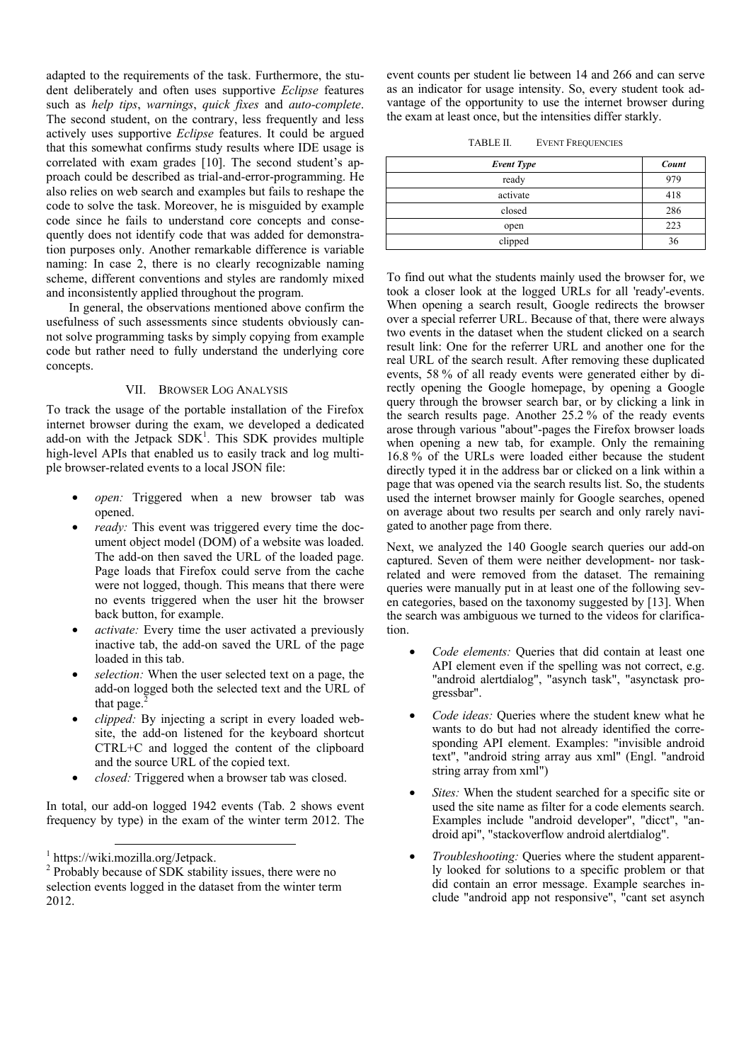adapted to the requirements of the task. Furthermore, the student deliberately and often uses supportive *Eclipse* features such as *help tips*, *warnings*, *quick fixes* and *auto-complete*. The second student, on the contrary, less frequently and less actively uses supportive *Eclipse* features. It could be argued that this somewhat confirms study results where IDE usage is correlated with exam grades [10]. The second student's approach could be described as trial-and-error-programming. He also relies on web search and examples but fails to reshape the code to solve the task. Moreover, he is misguided by example code since he fails to understand core concepts and consequently does not identify code that was added for demonstration purposes only. Another remarkable difference is variable naming: In case 2, there is no clearly recognizable naming scheme, different conventions and styles are randomly mixed and inconsistently applied throughout the program.

In general, the observations mentioned above confirm the usefulness of such assessments since students obviously cannot solve programming tasks by simply copying from example code but rather need to fully understand the underlying core concepts.

## VII. BROWSER LOG ANALYSIS

To track the usage of the portable installation of the Firefox internet browser during the exam, we developed a dedicated add-on with the Jetpack  $SDK<sup>1</sup>$ . This SDK provides multiple high-level APIs that enabled us to easily track and log multiple browser-related events to a local JSON file:

- *open:* Triggered when a new browser tab was opened.
- *ready:* This event was triggered every time the document object model (DOM) of a website was loaded. The add-on then saved the URL of the loaded page. Page loads that Firefox could serve from the cache were not logged, though. This means that there were no events triggered when the user hit the browser back button, for example.
- *activate:* Every time the user activated a previously inactive tab, the add-on saved the URL of the page loaded in this tab.
- *selection:* When the user selected text on a page, the add-on logged both the selected text and the URL of that page. $<sup>2</sup>$ </sup>
- *clipped:* By injecting a script in every loaded website, the add-on listened for the keyboard shortcut CTRL+C and logged the content of the clipboard and the source URL of the copied text.
- *closed:* Triggered when a browser tab was closed.

In total, our add-on logged 1942 events (Tab. 2 shows event frequency by type) in the exam of the winter term 2012. The event counts per student lie between 14 and 266 and can serve as an indicator for usage intensity. So, every student took advantage of the opportunity to use the internet browser during the exam at least once, but the intensities differ starkly.

| <b>Event Type</b> | Count |
|-------------------|-------|
| ready             | 979   |
| activate          | 418   |
| closed            | 286   |
| open              | 223   |
| clipped           | 36    |

To find out what the students mainly used the browser for, we took a closer look at the logged URLs for all 'ready'-events. When opening a search result, Google redirects the browser over a special referrer URL. Because of that, there were always two events in the dataset when the student clicked on a search result link: One for the referrer URL and another one for the real URL of the search result. After removing these duplicated events, 58 % of all ready events were generated either by directly opening the Google homepage, by opening a Google query through the browser search bar, or by clicking a link in the search results page. Another 25.2 % of the ready events arose through various "about"-pages the Firefox browser loads when opening a new tab, for example. Only the remaining 16.8 % of the URLs were loaded either because the student directly typed it in the address bar or clicked on a link within a page that was opened via the search results list. So, the students used the internet browser mainly for Google searches, opened on average about two results per search and only rarely navigated to another page from there.

Next, we analyzed the 140 Google search queries our add-on captured. Seven of them were neither development- nor taskrelated and were removed from the dataset. The remaining queries were manually put in at least one of the following seven categories, based on the taxonomy suggested by [13]. When the search was ambiguous we turned to the videos for clarification.

- *Code elements:* Queries that did contain at least one API element even if the spelling was not correct, e.g. "android alertdialog", "asynch task", "asynctask progressbar".
- *Code ideas:* Queries where the student knew what he wants to do but had not already identified the corresponding API element. Examples: "invisible android text", "android string array aus xml" (Engl. "android string array from xml")
- *Sites:* When the student searched for a specific site or used the site name as filter for a code elements search. Examples include "android developer", "dicct", "android api", "stackoverflow android alertdialog".
- *Troubleshooting:* Queries where the student apparently looked for solutions to a specific problem or that did contain an error message. Example searches include "android app not responsive", "cant set asynch

<sup>&</sup>lt;sup>1</sup> https://wiki.mozilla.org/Jetpack.

<sup>&</sup>lt;sup>2</sup> Probably because of SDK stability issues, there were no selection events logged in the dataset from the winter term 2012.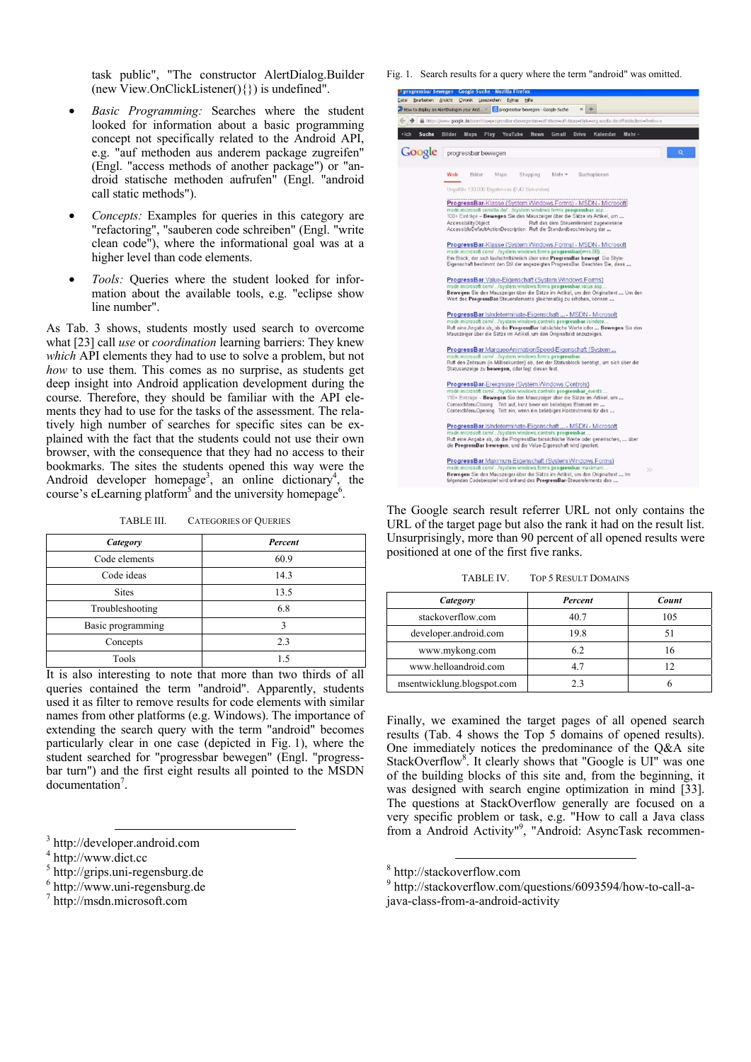task public", "The constructor AlertDialog.Builder (new View.OnClickListener(){}) is undefined".

- *Basic Programming:* Searches where the student looked for information about a basic programming concept not specifically related to the Android API, e.g. "auf methoden aus anderem package zugreifen" (Engl. "access methods of another package") or "android statische methoden aufrufen" (Engl. "android call static methods").
- *Concepts:* Examples for queries in this category are "refactoring", "sauberen code schreiben" (Engl. "write clean code"), where the informational goal was at a higher level than code elements.
- *Tools:* Queries where the student looked for information about the available tools, e.g. "eclipse show line number".

As Tab. 3 shows, students mostly used search to overcome what [23] call *use* or *coordination* learning barriers: They knew *which* API elements they had to use to solve a problem, but not *how* to use them. This comes as no surprise, as students get deep insight into Android application development during the course. Therefore, they should be familiar with the API elements they had to use for the tasks of the assessment. The relatively high number of searches for specific sites can be explained with the fact that the students could not use their own browser, with the consequence that they had no access to their bookmarks. The sites the students opened this way were the Android developer homepage<sup>3</sup>, an online dictionary<sup>4</sup>, the course's eLearning platform<sup>5</sup> and the university homepage<sup>6</sup> .

TABLE III. CATEGORIES OF QUERIES

| Category          | Percent |  |
|-------------------|---------|--|
| Code elements     | 60.9    |  |
| Code ideas        | 14.3    |  |
| <b>Sites</b>      | 13.5    |  |
| Troubleshooting   | 6.8     |  |
| Basic programming |         |  |
| Concepts          | 2.3     |  |
| Tools             |         |  |

It is also interesting to note that more than two thirds of all queries contained the term "android". Apparently, students used it as filter to remove results for code elements with similar names from other platforms (e.g. Windows). The importance of extending the search query with the term "android" becomes particularly clear in one case (depicted in Fig. 1), where the student searched for "progressbar bewegen" (Engl. "progressbar turn") and the first eight results all pointed to the MSDN documentation<sup>7</sup>.

- 3 http://developer.android.com
- 4 http://www.dict.cc
- 5 http://grips.uni-regensburg.de
- 6 http://www.uni-regensburg.de
- 7 http://msdn.microsoft.com

#### Fig. 1. Search results for a query where the term "android" was omitted.



The Google search result referrer URL not only contains the URL of the target page but also the rank it had on the result list. Unsurprisingly, more than 90 percent of all opened results were positioned at one of the first five ranks.

| TABLE IV. | <b>TOP 5 RESULT DOMAINS</b> |
|-----------|-----------------------------|
|-----------|-----------------------------|

| Category                   | <b>Percent</b> | Count |
|----------------------------|----------------|-------|
| stackoverflow.com          | 40.7           | 105   |
| developer.android.com      | 19.8           |       |
| www.mykong.com             | 6.2            | 16    |
| www.helloandroid.com       | 47             |       |
| msentwicklung.blogspot.com | 23             |       |

Finally, we examined the target pages of all opened search results (Tab. 4 shows the Top 5 domains of opened results). One immediately notices the predominance of the Q&A site StackOverflow<sup>8</sup>. It clearly shows that "Google is UI" was one of the building blocks of this site and, from the beginning, it was designed with search engine optimization in mind [33]. The questions at StackOverflow generally are focused on a very specific problem or task, e.g. "How to call a Java class from a Android Activity"<sup>9</sup>, "Android: AsyncTask recommen-

 <sup>8</sup> http://stackoverflow.com

<sup>9</sup> http://stackoverflow.com/questions/6093594/how-to-call-ajava-class-from-a-android-activity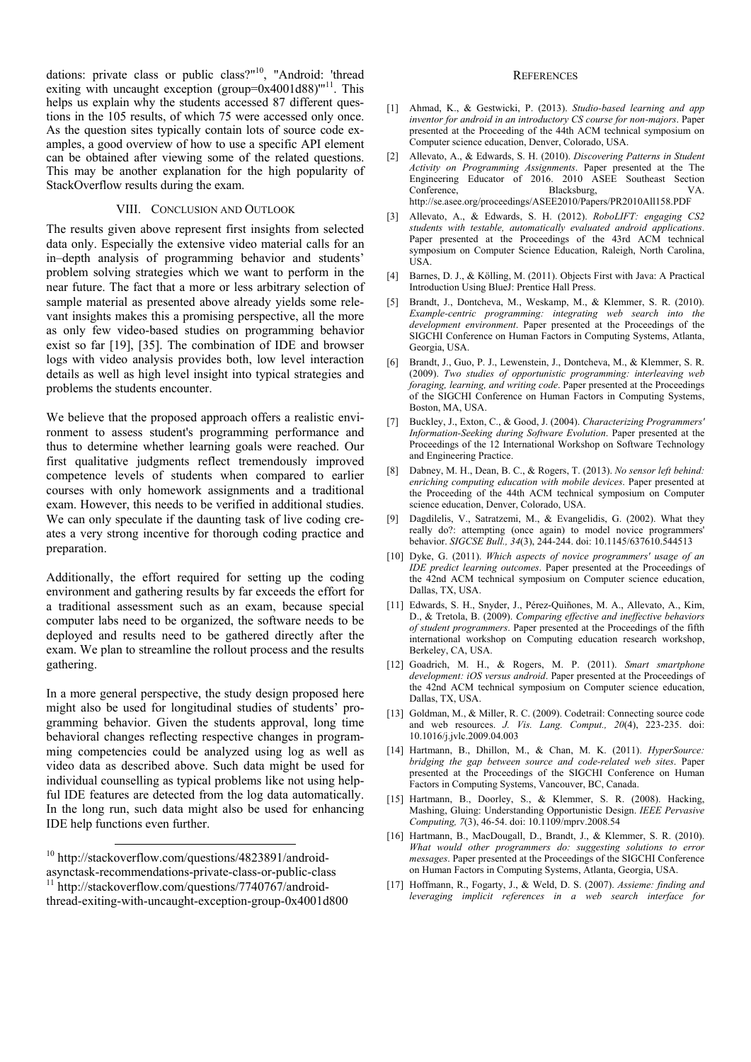dations: private class or public class?"<sup>10</sup>, "Android: 'thread exiting with uncaught exception (group= $0x4001d88$ )'"<sup>11</sup>. This helps us explain why the students accessed 87 different questions in the 105 results, of which 75 were accessed only once. As the question sites typically contain lots of source code examples, a good overview of how to use a specific API element can be obtained after viewing some of the related questions. This may be another explanation for the high popularity of StackOverflow results during the exam.

## VIII. CONCLUSION AND OUTLOOK

The results given above represent first insights from selected data only. Especially the extensive video material calls for an in–depth analysis of programming behavior and students' problem solving strategies which we want to perform in the near future. The fact that a more or less arbitrary selection of sample material as presented above already yields some relevant insights makes this a promising perspective, all the more as only few video-based studies on programming behavior exist so far [19], [35]. The combination of IDE and browser logs with video analysis provides both, low level interaction details as well as high level insight into typical strategies and problems the students encounter.

We believe that the proposed approach offers a realistic environment to assess student's programming performance and thus to determine whether learning goals were reached. Our first qualitative judgments reflect tremendously improved competence levels of students when compared to earlier courses with only homework assignments and a traditional exam. However, this needs to be verified in additional studies. We can only speculate if the daunting task of live coding creates a very strong incentive for thorough coding practice and preparation.

Additionally, the effort required for setting up the coding environment and gathering results by far exceeds the effort for a traditional assessment such as an exam, because special computer labs need to be organized, the software needs to be deployed and results need to be gathered directly after the exam. We plan to streamline the rollout process and the results gathering.

In a more general perspective, the study design proposed here might also be used for longitudinal studies of students' programming behavior. Given the students approval, long time behavioral changes reflecting respective changes in programming competencies could be analyzed using log as well as video data as described above. Such data might be used for individual counselling as typical problems like not using helpful IDE features are detected from the log data automatically. In the long run, such data might also be used for enhancing IDE help functions even further.

<sup>10</sup> http://stackoverflow.com/questions/4823891/androidasynctask-recommendations-private-class-or-public-class

### **REFERENCES**

- [1] Ahmad, K., & Gestwicki, P. (2013). *Studio-based learning and app inventor for android in an introductory CS course for non-majors*. Paper presented at the Proceeding of the 44th ACM technical symposium on Computer science education, Denver, Colorado, USA.
- [2] Allevato, A., & Edwards, S. H. (2010). *Discovering Patterns in Student Activity on Programming Assignments*. Paper presented at the The Engineering Educator of 2016. 2010 ASEE Southeast Section Conference, Blacksburg, VA. http://se.asee.org/proceedings/ASEE2010/Papers/PR2010All158.PDF
- [3] Allevato, A., & Edwards, S. H. (2012). *RoboLIFT: engaging CS2 students with testable, automatically evaluated android applications*. Paper presented at the Proceedings of the 43rd ACM technical symposium on Computer Science Education, Raleigh, North Carolina, USA.
- [4] Barnes, D. J., & Kölling, M. (2011). Objects First with Java: A Practical Introduction Using BlueJ: Prentice Hall Press.
- [5] Brandt, J., Dontcheva, M., Weskamp, M., & Klemmer, S. R. (2010). *Example-centric programming: integrating web search into the development environment*. Paper presented at the Proceedings of the SIGCHI Conference on Human Factors in Computing Systems, Atlanta, Georgia, USA.
- [6] Brandt, J., Guo, P. J., Lewenstein, J., Dontcheva, M., & Klemmer, S. R. (2009). *Two studies of opportunistic programming: interleaving web foraging, learning, and writing code*. Paper presented at the Proceedings of the SIGCHI Conference on Human Factors in Computing Systems, Boston, MA, USA.
- [7] Buckley, J., Exton, C., & Good, J. (2004). *Characterizing Programmers' Information-Seeking during Software Evolution*. Paper presented at the Proceedings of the 12 International Workshop on Software Technology and Engineering Practice.
- [8] Dabney, M. H., Dean, B. C., & Rogers, T. (2013). *No sensor left behind: enriching computing education with mobile devices*. Paper presented at the Proceeding of the 44th ACM technical symposium on Computer science education, Denver, Colorado, USA.
- [9] Dagdilelis, V., Satratzemi, M., & Evangelidis, G. (2002). What they really do?: attempting (once again) to model novice programmers' behavior. *SIGCSE Bull., 34*(3), 244-244. doi: 10.1145/637610.544513
- [10] Dyke, G. (2011). *Which aspects of novice programmers' usage of an IDE predict learning outcomes*. Paper presented at the Proceedings of the 42nd ACM technical symposium on Computer science education, Dallas, TX, USA.
- [11] Edwards, S. H., Snyder, J., Pérez-Quiñones, M. A., Allevato, A., Kim, D., & Tretola, B. (2009). *Comparing effective and ineffective behaviors of student programmers*. Paper presented at the Proceedings of the fifth international workshop on Computing education research workshop, Berkeley, CA, USA.
- [12] Goadrich, M. H., & Rogers, M. P. (2011). *Smart smartphone development: iOS versus android*. Paper presented at the Proceedings of the 42nd ACM technical symposium on Computer science education, Dallas, TX, USA.
- [13] Goldman, M., & Miller, R. C. (2009). Codetrail: Connecting source code and web resources. *J. Vis. Lang. Comput., 20*(4), 223-235. doi: 10.1016/j.jvlc.2009.04.003
- [14] Hartmann, B., Dhillon, M., & Chan, M. K. (2011). *HyperSource: bridging the gap between source and code-related web sites*. Paper presented at the Proceedings of the SIGCHI Conference on Human Factors in Computing Systems, Vancouver, BC, Canada.
- [15] Hartmann, B., Doorley, S., & Klemmer, S. R. (2008). Hacking, Mashing, Gluing: Understanding Opportunistic Design. *IEEE Pervasive Computing, 7*(3), 46-54. doi: 10.1109/mprv.2008.54
- [16] Hartmann, B., MacDougall, D., Brandt, J., & Klemmer, S. R. (2010). *What would other programmers do: suggesting solutions to error messages*. Paper presented at the Proceedings of the SIGCHI Conference on Human Factors in Computing Systems, Atlanta, Georgia, USA.
- [17] Hoffmann, R., Fogarty, J., & Weld, D. S. (2007). *Assieme: finding and leveraging implicit references in a web search interface for*

<sup>&</sup>lt;sup>11</sup> http://stackoverflow.com/questions/7740767/androidthread-exiting-with-uncaught-exception-group-0x4001d800